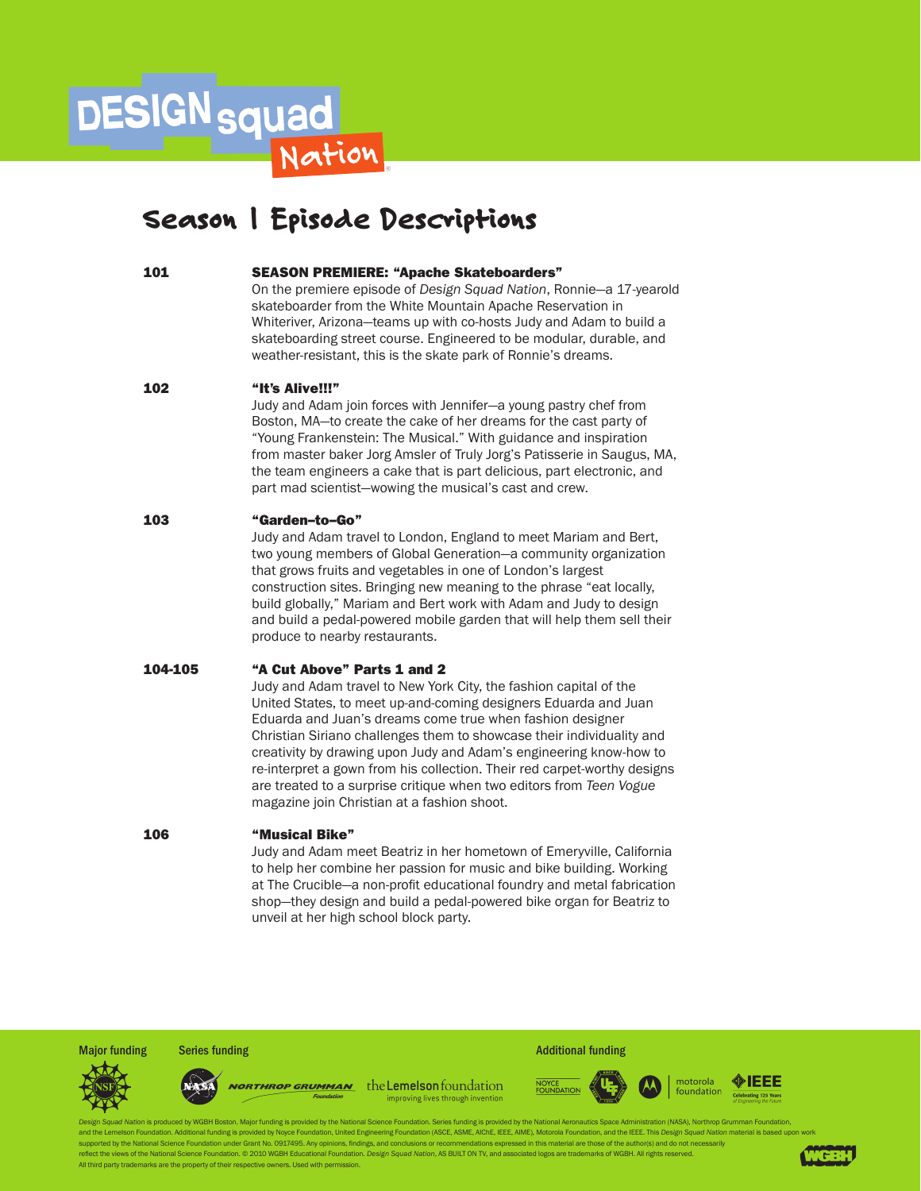# **DESIGN** squad

# Season 1 Episode Descriptions

### 101 SEASON PREMIERE: "Apache Skateboarders"

On the premiere episode of *Design Squad Nation*, Ronnie—a 17-yearold skateboarder from the White Mountain Apache Reservation in Whiteriver, Arizona—teams up with co-hosts Judy and Adam to build a skateboarding street course. Engineered to be modular, durable, and weather-resistant, this is the skate park of Ronnie's dreams.

### 102 "It's Alive!!!"

Judy and Adam join forces with Jennifer—a young pastry chef from Boston, MA—to create the cake of her dreams for the cast party of "Young Frankenstein: The Musical." With guidance and inspiration from master baker Jorg Amsler of Truly Jorg's Patisserie in Saugus, MA, the team engineers a cake that is part delicious, part electronic, and part mad scientist—wowing the musical's cast and crew.

### 103 "Garden–to–Go"

Judy and Adam travel to London, England to meet Mariam and Bert, two young members of Global Generation—a community organization that grows fruits and vegetables in one of London's largest construction sites. Bringing new meaning to the phrase "eat locally, build globally," Mariam and Bert work with Adam and Judy to design and build a pedal-powered mobile garden that will help them sell their produce to nearby restaurants.

### 104-105 "A Cut Above" Parts 1 and 2

Judy and Adam travel to New York City, the fashion capital of the United States, to meet up-and-coming designers Eduarda and Juan Eduarda and Juan's dreams come true when fashion designer Christian Siriano challenges them to showcase their individuality and creativity by drawing upon Judy and Adam's engineering know-how to re-interpret a gown from his collection. Their red carpet-worthy designs are treated to a surprise critique when two editors from *Teen Vogue* magazine join Christian at a fashion shoot.

### 106 "Musical Bike"

Judy and Adam meet Beatriz in her hometown of Emeryville, California to help her combine her passion for music and bike building. Working at The Crucible—a non-profit educational foundry and metal fabrication shop—they design and build a pedal-powered bike organ for Beatriz to unveil at her high school block party.





worthrop Grumman the Lemelson foundation improving lives through invention





tion is produced by WGBH Boston. Maior funding is provided by the National Science Foundation. Series funding is provided by the National Aeronautics Space Administration (NASA). Northrop Grumman Foundation, and the Lemelson Foundation. Additional funding is provided by Noyce Foundation, United Engineering Foundation (ASCE, ASME, AIChE, IEEE, AIME), Motorola Foundation, and the IEEE. This *Design Squad Nation* material is base supported by the National Science Foundation under Grant No. 0917495. Any opinions, findings, and conclusions or re ct the views of the National Science Foundation. © 2010 WGBH Educational Foundation. *Design Squad Nation*, AS BUILT ON TV, and associated logos are trademarks of WGBH. All rights res All third party trademarks are the property of their respective owners. Used with permissio